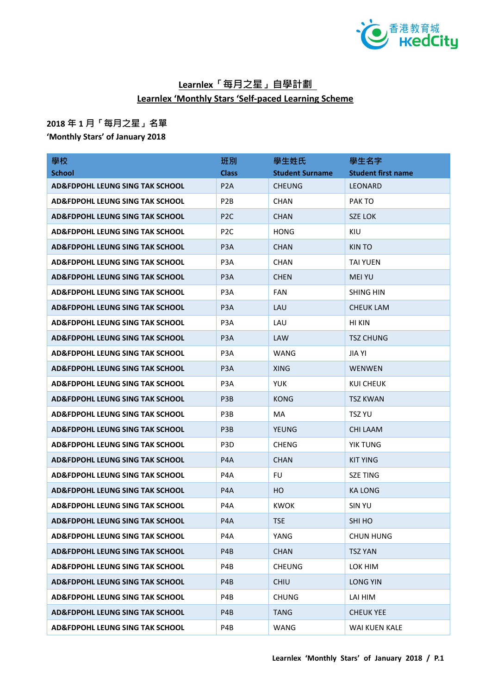

## **Learnlex「每月之星」自學計劃 Learnlex 'Monthly Stars 'Self-paced Learning Scheme**

## **2018 年 1 月「每月之星」名單**

**'Monthly Stars' of January 2018**

| 學校                                         | 班別               | 學生姓氏                   | 學生名字                      |
|--------------------------------------------|------------------|------------------------|---------------------------|
| <b>School</b>                              | <b>Class</b>     | <b>Student Surname</b> | <b>Student first name</b> |
| AD&FDPOHL LEUNG SING TAK SCHOOL            | P <sub>2</sub> A | <b>CHEUNG</b>          | <b>LEONARD</b>            |
| <b>AD&amp;FDPOHL LEUNG SING TAK SCHOOL</b> | P <sub>2</sub> B | <b>CHAN</b>            | PAK TO                    |
| AD&FDPOHL LEUNG SING TAK SCHOOL            | P <sub>2C</sub>  | <b>CHAN</b>            | <b>SZE LOK</b>            |
| <b>AD&amp;FDPOHL LEUNG SING TAK SCHOOL</b> | P <sub>2C</sub>  | <b>HONG</b>            | <b>KIU</b>                |
| <b>AD&amp;FDPOHL LEUNG SING TAK SCHOOL</b> | P <sub>3</sub> A | <b>CHAN</b>            | KIN TO                    |
| <b>AD&amp;FDPOHL LEUNG SING TAK SCHOOL</b> | P <sub>3</sub> A | <b>CHAN</b>            | <b>TAI YUEN</b>           |
| AD&FDPOHL LEUNG SING TAK SCHOOL            | P <sub>3</sub> A | <b>CHEN</b>            | <b>MEI YU</b>             |
| AD&FDPOHL LEUNG SING TAK SCHOOL            | P <sub>3</sub> A | <b>FAN</b>             | <b>SHING HIN</b>          |
| AD&FDPOHL LEUNG SING TAK SCHOOL            | P <sub>3</sub> A | LAU                    | <b>CHEUK LAM</b>          |
| AD&FDPOHL LEUNG SING TAK SCHOOL            | P3A              | LAU                    | HI KIN                    |
| AD&FDPOHL LEUNG SING TAK SCHOOL            | P <sub>3</sub> A | <b>LAW</b>             | <b>TSZ CHUNG</b>          |
| <b>AD&amp;FDPOHL LEUNG SING TAK SCHOOL</b> | P <sub>3</sub> A | WANG                   | JIA YI                    |
| AD&FDPOHL LEUNG SING TAK SCHOOL            | P <sub>3</sub> A | <b>XING</b>            | <b>WENWEN</b>             |
| <b>AD&amp;FDPOHL LEUNG SING TAK SCHOOL</b> | P <sub>3</sub> A | <b>YUK</b>             | KUI CHEUK                 |
| AD&FDPOHL LEUNG SING TAK SCHOOL            | P <sub>3</sub> B | <b>KONG</b>            | <b>TSZ KWAN</b>           |
| AD&FDPOHL LEUNG SING TAK SCHOOL            | P3B              | MA                     | <b>TSZ YU</b>             |
| <b>AD&amp;FDPOHL LEUNG SING TAK SCHOOL</b> | P <sub>3</sub> B | YEUNG                  | <b>CHI LAAM</b>           |
| AD&FDPOHL LEUNG SING TAK SCHOOL            | P <sub>3</sub> D | <b>CHENG</b>           | YIK TUNG                  |
| <b>AD&amp;FDPOHL LEUNG SING TAK SCHOOL</b> | P <sub>4</sub> A | <b>CHAN</b>            | <b>KIT YING</b>           |
| AD&FDPOHL LEUNG SING TAK SCHOOL            | P4A              | <b>FU</b>              | <b>SZE TING</b>           |
| <b>AD&amp;FDPOHL LEUNG SING TAK SCHOOL</b> | P4A              | HO                     | <b>KA LONG</b>            |
| <b>AD&amp;FDPOHL LEUNG SING TAK SCHOOL</b> | P4A              | <b>KWOK</b>            | SIN YU                    |
| AD&FDPOHL LEUNG SING TAK SCHOOL            | P4A              | <b>TSE</b>             | SHI HO                    |
| <b>AD&amp;FDPOHL LEUNG SING TAK SCHOOL</b> | P4A              | YANG                   | <b>CHUN HUNG</b>          |
| <b>AD&amp;FDPOHL LEUNG SING TAK SCHOOL</b> | P4B              | <b>CHAN</b>            | <b>TSZ YAN</b>            |
| <b>AD&amp;FDPOHL LEUNG SING TAK SCHOOL</b> | P4B              | <b>CHEUNG</b>          | LOK HIM                   |
| <b>AD&amp;FDPOHL LEUNG SING TAK SCHOOL</b> | P4B              | <b>CHIU</b>            | <b>LONG YIN</b>           |
| <b>AD&amp;FDPOHL LEUNG SING TAK SCHOOL</b> | P4B              | <b>CHUNG</b>           | LAI HIM                   |
| <b>AD&amp;FDPOHL LEUNG SING TAK SCHOOL</b> | P4B              | <b>TANG</b>            | <b>CHEUK YEE</b>          |
| AD&FDPOHL LEUNG SING TAK SCHOOL            | P4B              | <b>WANG</b>            | WAI KUEN KALE             |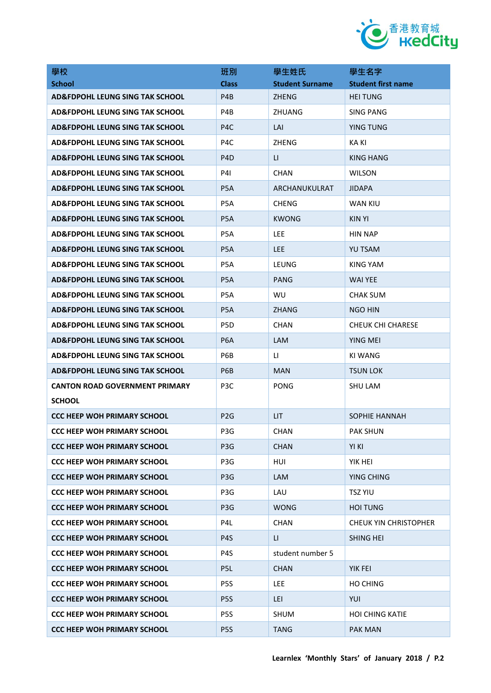

| 學校                                         | 班別               | 學生姓氏                   | 學生名字                         |
|--------------------------------------------|------------------|------------------------|------------------------------|
| <b>School</b>                              | <b>Class</b>     | <b>Student Surname</b> | <b>Student first name</b>    |
| AD&FDPOHL LEUNG SING TAK SCHOOL            | P <sub>4</sub> B | <b>ZHENG</b>           | <b>HEI TUNG</b>              |
| <b>AD&amp;FDPOHL LEUNG SING TAK SCHOOL</b> | P4B              | ZHUANG                 | <b>SING PANG</b>             |
| AD&FDPOHL LEUNG SING TAK SCHOOL            | P <sub>4</sub> C | LAI                    | YING TUNG                    |
| AD&FDPOHL LEUNG SING TAK SCHOOL            | P4C              | <b>ZHENG</b>           | KA KI                        |
| <b>AD&amp;FDPOHL LEUNG SING TAK SCHOOL</b> | P <sub>4</sub> D | LI.                    | KING HANG                    |
| AD&FDPOHL LEUNG SING TAK SCHOOL            | <b>P41</b>       | <b>CHAN</b>            | <b>WILSON</b>                |
| AD&FDPOHL LEUNG SING TAK SCHOOL            | P <sub>5</sub> A | ARCHANUKULRAT          | <b>JIDAPA</b>                |
| AD&FDPOHL LEUNG SING TAK SCHOOL            | P <sub>5</sub> A | <b>CHENG</b>           | WAN KIU                      |
| AD&FDPOHL LEUNG SING TAK SCHOOL            | P <sub>5</sub> A | KWONG                  | KIN YI                       |
| AD&FDPOHL LEUNG SING TAK SCHOOL            | P5A              | LEE.                   | <b>HIN NAP</b>               |
| AD&FDPOHL LEUNG SING TAK SCHOOL            | P <sub>5</sub> A | <b>LEE</b>             | <b>YU TSAM</b>               |
| AD&FDPOHL LEUNG SING TAK SCHOOL            | P <sub>5</sub> A | LEUNG                  | KING YAM                     |
| AD&FDPOHL LEUNG SING TAK SCHOOL            | P <sub>5</sub> A | PANG                   | <b>WAI YEE</b>               |
| <b>AD&amp;FDPOHL LEUNG SING TAK SCHOOL</b> | P <sub>5</sub> A | <b>WU</b>              | <b>CHAK SUM</b>              |
| AD&FDPOHL LEUNG SING TAK SCHOOL            | P <sub>5</sub> A | <b>ZHANG</b>           | <b>NGO HIN</b>               |
| AD&FDPOHL LEUNG SING TAK SCHOOL            | P <sub>5</sub> D | <b>CHAN</b>            | CHEUK CHI CHARESE            |
| AD&FDPOHL LEUNG SING TAK SCHOOL            | P <sub>6</sub> A | <b>LAM</b>             | YING MEI                     |
| AD&FDPOHL LEUNG SING TAK SCHOOL            | P6B              | $\mathsf{L}$           | KI WANG                      |
| AD&FDPOHL LEUNG SING TAK SCHOOL            | P <sub>6</sub> B | <b>MAN</b>             | <b>TSUN LOK</b>              |
| <b>CANTON ROAD GOVERNMENT PRIMARY</b>      | P3C              | <b>PONG</b>            | SHU LAM                      |
| <b>SCHOOL</b>                              |                  |                        |                              |
| <b>CCC HEEP WOH PRIMARY SCHOOL</b>         | P <sub>2G</sub>  | <b>LIT</b>             | SOPHIE HANNAH                |
| <b>CCC HEEP WOH PRIMARY SCHOOL</b>         | P3G              | <b>CHAN</b>            | PAK SHUN                     |
| <b>CCC HEEP WOH PRIMARY SCHOOL</b>         | P <sub>3</sub> G | <b>CHAN</b>            | YI KI                        |
| <b>CCC HEEP WOH PRIMARY SCHOOL</b>         | P3G              | HUI                    | YIK HEI                      |
| <b>CCC HEEP WOH PRIMARY SCHOOL</b>         | P <sub>3</sub> G | LAM                    | YING CHING                   |
| <b>CCC HEEP WOH PRIMARY SCHOOL</b>         | P3G              | LAU                    | <b>TSZ YIU</b>               |
| <b>CCC HEEP WOH PRIMARY SCHOOL</b>         | P <sub>3</sub> G | <b>WONG</b>            | <b>HOI TUNG</b>              |
| <b>CCC HEEP WOH PRIMARY SCHOOL</b>         | P4L              | <b>CHAN</b>            | <b>CHEUK YIN CHRISTOPHER</b> |
| <b>CCC HEEP WOH PRIMARY SCHOOL</b>         | P4S              | LI.                    | SHING HEI                    |
| <b>CCC HEEP WOH PRIMARY SCHOOL</b>         | P4S              | student number 5       |                              |
| <b>CCC HEEP WOH PRIMARY SCHOOL</b>         | P5L              | <b>CHAN</b>            | YIK FEI                      |
| <b>CCC HEEP WOH PRIMARY SCHOOL</b>         | P5S              | <b>LEE</b>             | HO CHING                     |
| <b>CCC HEEP WOH PRIMARY SCHOOL</b>         | P <sub>5</sub> S | LEI                    | YUI                          |
| <b>CCC HEEP WOH PRIMARY SCHOOL</b>         | P5S              | <b>SHUM</b>            | <b>HOI CHING KATIE</b>       |
| <b>CCC HEEP WOH PRIMARY SCHOOL</b>         | P <sub>5</sub> S | <b>TANG</b>            | PAK MAN                      |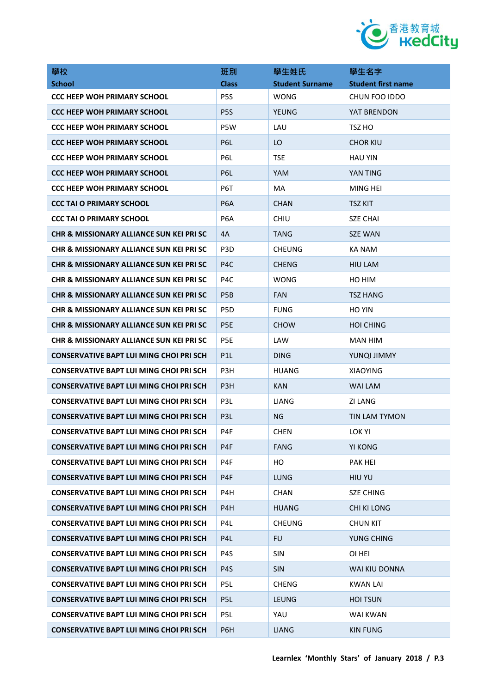

| 學校                                                  | 班別               | 學生姓氏                   | 學生名字                      |
|-----------------------------------------------------|------------------|------------------------|---------------------------|
| <b>School</b>                                       | <b>Class</b>     | <b>Student Surname</b> | <b>Student first name</b> |
| <b>CCC HEEP WOH PRIMARY SCHOOL</b>                  | P <sub>5</sub> S | <b>WONG</b>            | CHUN FOO IDDO             |
| <b>CCC HEEP WOH PRIMARY SCHOOL</b>                  | P <sub>5</sub> S | <b>YEUNG</b>           | YAT BRENDON               |
| <b>CCC HEEP WOH PRIMARY SCHOOL</b>                  | P5W              | LAU                    | TSZ HO                    |
| <b>CCC HEEP WOH PRIMARY SCHOOL</b>                  | P6L              | LO                     | <b>CHOR KIU</b>           |
| <b>CCC HEEP WOH PRIMARY SCHOOL</b>                  | P6L              | <b>TSE</b>             | <b>HAU YIN</b>            |
| <b>CCC HEEP WOH PRIMARY SCHOOL</b>                  | P <sub>6</sub> L | YAM                    | YAN TING                  |
| <b>CCC HEEP WOH PRIMARY SCHOOL</b>                  | P6T              | MA                     | MING HEI                  |
| CCC TAI O PRIMARY SCHOOL                            | P <sub>6</sub> A | <b>CHAN</b>            | <b>TSZ KIT</b>            |
| <b>CCC TAI O PRIMARY SCHOOL</b>                     | P6A              | <b>CHIU</b>            | <b>SZE CHAI</b>           |
| CHR & MISSIONARY ALLIANCE SUN KEI PRI SC            | 4A               | <b>TANG</b>            | <b>SZE WAN</b>            |
| CHR & MISSIONARY ALLIANCE SUN KEI PRI SC            | P3D              | <b>CHEUNG</b>          | KA NAM                    |
| <b>CHR &amp; MISSIONARY ALLIANCE SUN KEI PRI SC</b> | P <sub>4</sub> C | <b>CHENG</b>           | <b>HIU LAM</b>            |
| CHR & MISSIONARY ALLIANCE SUN KEI PRI SC            | P4C              | <b>WONG</b>            | HO HIM                    |
| <b>CHR &amp; MISSIONARY ALLIANCE SUN KEI PRI SC</b> | P <sub>5</sub> B | <b>FAN</b>             | <b>TSZ HANG</b>           |
| <b>CHR &amp; MISSIONARY ALLIANCE SUN KEI PRI SC</b> | P <sub>5</sub> D | <b>FUNG</b>            | <b>HO YIN</b>             |
| CHR & MISSIONARY ALLIANCE SUN KEI PRI SC            | P <sub>5E</sub>  | <b>CHOW</b>            | <b>HOI CHING</b>          |
| <b>CHR &amp; MISSIONARY ALLIANCE SUN KEI PRI SC</b> | P <sub>5E</sub>  | LAW                    | <b>MAN HIM</b>            |
| <b>CONSERVATIVE BAPT LUI MING CHOI PRI SCH</b>      | P <sub>1</sub> L | <b>DING</b>            | YUNQI JIMMY               |
| <b>CONSERVATIVE BAPT LUI MING CHOI PRI SCH</b>      | P3H              | <b>HUANG</b>           | <b>XIAOYING</b>           |
| CONSERVATIVE BAPT LUI MING CHOI PRI SCH             | P <sub>3</sub> H | KAN                    | <b>WAI LAM</b>            |
| <b>CONSERVATIVE BAPT LUI MING CHOI PRI SCH</b>      | P3L              | LIANG                  | <b>ZI LANG</b>            |
| <b>CONSERVATIVE BAPT LUI MING CHOI PRI SCH</b>      | P <sub>3</sub> L | ΝG                     | <b>TIN LAM TYMON</b>      |
| <b>CONSERVATIVE BAPT LUI MING CHOI PRI SCH</b>      | P4F              | <b>CHEN</b>            | LOK YI                    |
| <b>CONSERVATIVE BAPT LUI MING CHOI PRI SCH</b>      | P4F              | <b>FANG</b>            | <b>YI KONG</b>            |
| <b>CONSERVATIVE BAPT LUI MING CHOI PRI SCH</b>      | P <sub>4F</sub>  | HO                     | <b>PAK HEI</b>            |
| <b>CONSERVATIVE BAPT LUI MING CHOI PRI SCH</b>      | P <sub>4F</sub>  | <b>LUNG</b>            | HIU YU                    |
| <b>CONSERVATIVE BAPT LUI MING CHOI PRI SCH</b>      | P4H              | <b>CHAN</b>            | <b>SZE CHING</b>          |
| <b>CONSERVATIVE BAPT LUI MING CHOI PRI SCH</b>      | P <sub>4</sub> H | <b>HUANG</b>           | <b>CHI KI LONG</b>        |
| <b>CONSERVATIVE BAPT LUI MING CHOI PRI SCH</b>      | P <sub>4</sub> L | <b>CHEUNG</b>          | <b>CHUN KIT</b>           |
| <b>CONSERVATIVE BAPT LUI MING CHOI PRI SCH</b>      | P <sub>4</sub> L | <b>FU</b>              | YUNG CHING                |
| <b>CONSERVATIVE BAPT LUI MING CHOI PRI SCH</b>      | P4S              | SIN                    | OI HEI                    |
| <b>CONSERVATIVE BAPT LUI MING CHOI PRI SCH</b>      | P <sub>4</sub> S | <b>SIN</b>             | WAI KIU DONNA             |
| <b>CONSERVATIVE BAPT LUI MING CHOI PRI SCH</b>      | P5L              | <b>CHENG</b>           | <b>KWAN LAI</b>           |
| CONSERVATIVE BAPT LUI MING CHOI PRI SCH             | P <sub>5</sub> L | <b>LEUNG</b>           | HOI TSUN                  |
| <b>CONSERVATIVE BAPT LUI MING CHOI PRI SCH</b>      | P5L              | YAU                    | WAI KWAN                  |
| <b>CONSERVATIVE BAPT LUI MING CHOI PRI SCH</b>      | P6H              | <b>LIANG</b>           | <b>KIN FUNG</b>           |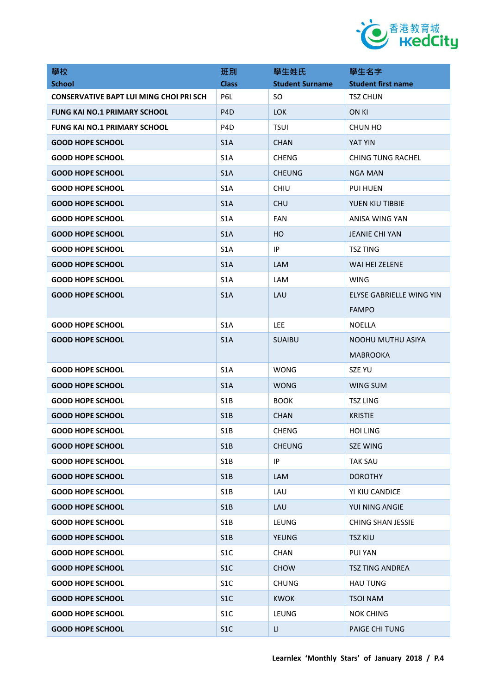

| 學校                                             | 班別               | 學生姓氏                   | 學生名字                      |
|------------------------------------------------|------------------|------------------------|---------------------------|
| <b>School</b>                                  | <b>Class</b>     | <b>Student Surname</b> | <b>Student first name</b> |
| <b>CONSERVATIVE BAPT LUI MING CHOI PRI SCH</b> | P6L              | SO.                    | <b>TSZ CHUN</b>           |
| <b>FUNG KAI NO.1 PRIMARY SCHOOL</b>            | P <sub>4</sub> D | <b>LOK</b>             | <b>ON KI</b>              |
| <b>FUNG KAI NO.1 PRIMARY SCHOOL</b>            | P <sub>4</sub> D | <b>TSUI</b>            | CHUN HO                   |
| <b>GOOD HOPE SCHOOL</b>                        | S <sub>1</sub> A | <b>CHAN</b>            | YAT YIN                   |
| <b>GOOD HOPE SCHOOL</b>                        | S <sub>1</sub> A | <b>CHENG</b>           | <b>CHING TUNG RACHEL</b>  |
| <b>GOOD HOPE SCHOOL</b>                        | S <sub>1</sub> A | <b>CHEUNG</b>          | <b>NGA MAN</b>            |
| <b>GOOD HOPE SCHOOL</b>                        | S <sub>1</sub> A | <b>CHIU</b>            | <b>PUI HUEN</b>           |
| <b>GOOD HOPE SCHOOL</b>                        | S <sub>1</sub> A | <b>CHU</b>             | YUEN KIU TIBBIE           |
| <b>GOOD HOPE SCHOOL</b>                        | S <sub>1</sub> A | <b>FAN</b>             | ANISA WING YAN            |
| <b>GOOD HOPE SCHOOL</b>                        | S <sub>1</sub> A | HO                     | <b>JEANIE CHI YAN</b>     |
| <b>GOOD HOPE SCHOOL</b>                        | S <sub>1</sub> A | IP                     | <b>TSZ TING</b>           |
| <b>GOOD HOPE SCHOOL</b>                        | S <sub>1</sub> A | <b>LAM</b>             | WAI HEI ZELENE            |
| <b>GOOD HOPE SCHOOL</b>                        | S <sub>1</sub> A | LAM                    | <b>WING</b>               |
| <b>GOOD HOPE SCHOOL</b>                        | S <sub>1</sub> A | LAU                    | ELYSE GABRIELLE WING YIN  |
|                                                |                  |                        | <b>FAMPO</b>              |
| <b>GOOD HOPE SCHOOL</b>                        | S <sub>1</sub> A | <b>LEE</b>             | NOELLA                    |
| <b>GOOD HOPE SCHOOL</b>                        | S <sub>1</sub> A | <b>SUAIBU</b>          | NOOHU MUTHU ASIYA         |
|                                                |                  |                        | <b>MABROOKA</b>           |
| <b>GOOD HOPE SCHOOL</b>                        | S <sub>1</sub> A | <b>WONG</b>            | SZE YU                    |
| <b>GOOD HOPE SCHOOL</b>                        | S <sub>1</sub> A | <b>WONG</b>            | WING SUM                  |
| <b>GOOD HOPE SCHOOL</b>                        | S <sub>1</sub> B | <b>BOOK</b>            | <b>TSZ LING</b>           |
| <b>GOOD HOPE SCHOOL</b>                        | S1B              | <b>CHAN</b>            | <b>KRISTIE</b>            |
| <b>GOOD HOPE SCHOOL</b>                        | S <sub>1</sub> B | <b>CHENG</b>           | <b>HOI LING</b>           |
| <b>GOOD HOPE SCHOOL</b>                        | S1B              | <b>CHEUNG</b>          | <b>SZE WING</b>           |
| <b>GOOD HOPE SCHOOL</b>                        | S1B              | IP                     | <b>TAK SAU</b>            |
| <b>GOOD HOPE SCHOOL</b>                        | S1B              | <b>LAM</b>             | <b>DOROTHY</b>            |
| <b>GOOD HOPE SCHOOL</b>                        | S1B              | LAU                    | YI KIU CANDICE            |
| <b>GOOD HOPE SCHOOL</b>                        | S <sub>1</sub> B | LAU                    | YUI NING ANGIE            |
| <b>GOOD HOPE SCHOOL</b>                        | S1B              | <b>LEUNG</b>           | <b>CHING SHAN JESSIE</b>  |
| <b>GOOD HOPE SCHOOL</b>                        | S1B              | <b>YEUNG</b>           | <b>TSZ KIU</b>            |
| <b>GOOD HOPE SCHOOL</b>                        | S <sub>1</sub> C | CHAN                   | <b>PUI YAN</b>            |
| <b>GOOD HOPE SCHOOL</b>                        | S <sub>1</sub> C | <b>CHOW</b>            | <b>TSZ TING ANDREA</b>    |
| <b>GOOD HOPE SCHOOL</b>                        | S <sub>1</sub> C | <b>CHUNG</b>           | <b>HAU TUNG</b>           |
| <b>GOOD HOPE SCHOOL</b>                        | S <sub>1</sub> C | <b>KWOK</b>            | <b>TSOI NAM</b>           |
| <b>GOOD HOPE SCHOOL</b>                        | S <sub>1</sub> C | LEUNG                  | <b>NOK CHING</b>          |
| <b>GOOD HOPE SCHOOL</b>                        | S <sub>1</sub> C | LI.                    | <b>PAIGE CHI TUNG</b>     |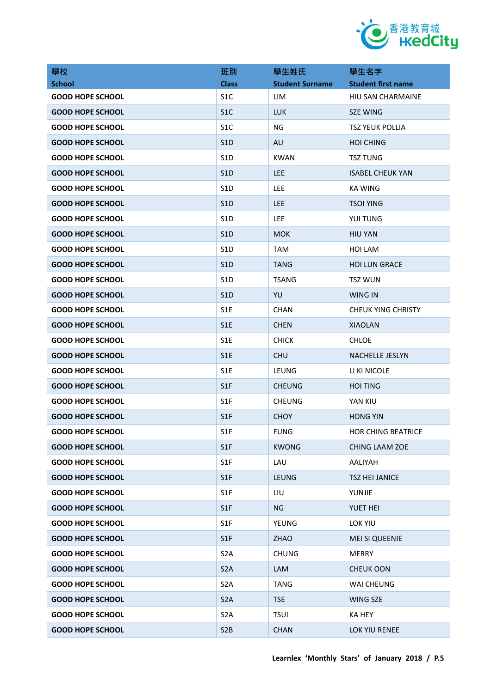

| 學校                      | 班別               | 學生姓氏                   | 學生名字                      |
|-------------------------|------------------|------------------------|---------------------------|
| <b>School</b>           | <b>Class</b>     | <b>Student Surname</b> | <b>Student first name</b> |
| <b>GOOD HOPE SCHOOL</b> | S <sub>1</sub> C | LIM                    | HIU SAN CHARMAINE         |
| <b>GOOD HOPE SCHOOL</b> | S <sub>1</sub> C | <b>LUK</b>             | <b>SZE WING</b>           |
| <b>GOOD HOPE SCHOOL</b> | S <sub>1</sub> C | NG                     | <b>TSZ YEUK POLLIA</b>    |
| <b>GOOD HOPE SCHOOL</b> | S <sub>1</sub> D | AU                     | <b>HOI CHING</b>          |
| <b>GOOD HOPE SCHOOL</b> | S <sub>1</sub> D | KWAN                   | <b>TSZ TUNG</b>           |
| <b>GOOD HOPE SCHOOL</b> | S <sub>1</sub> D | LEE                    | <b>ISABEL CHEUK YAN</b>   |
| <b>GOOD HOPE SCHOOL</b> | S <sub>1</sub> D | <b>LEE</b>             | KA WING                   |
| <b>GOOD HOPE SCHOOL</b> | S <sub>1</sub> D | <b>LEE</b>             | <b>TSOI YING</b>          |
| <b>GOOD HOPE SCHOOL</b> | S <sub>1</sub> D | LEE                    | YUI TUNG                  |
| <b>GOOD HOPE SCHOOL</b> | S <sub>1</sub> D | <b>MOK</b>             | <b>HIU YAN</b>            |
| <b>GOOD HOPE SCHOOL</b> | S <sub>1</sub> D | TAM                    | HOI LAM                   |
| <b>GOOD HOPE SCHOOL</b> | S <sub>1</sub> D | <b>TANG</b>            | <b>HOI LUN GRACE</b>      |
| <b>GOOD HOPE SCHOOL</b> | S <sub>1</sub> D | <b>TSANG</b>           | <b>TSZ WUN</b>            |
| <b>GOOD HOPE SCHOOL</b> | S <sub>1</sub> D | YU                     | WING IN                   |
| <b>GOOD HOPE SCHOOL</b> | S <sub>1</sub> E | <b>CHAN</b>            | <b>CHEUK YING CHRISTY</b> |
| <b>GOOD HOPE SCHOOL</b> | S <sub>1</sub> E | <b>CHEN</b>            | <b>XIAOLAN</b>            |
| <b>GOOD HOPE SCHOOL</b> | S1E              | <b>CHICK</b>           | <b>CHLOE</b>              |
| <b>GOOD HOPE SCHOOL</b> | S <sub>1</sub> E | <b>CHU</b>             | <b>NACHELLE JESLYN</b>    |
| <b>GOOD HOPE SCHOOL</b> | S <sub>1</sub> E | LEUNG                  | LI KI NICOLE              |
| <b>GOOD HOPE SCHOOL</b> | S1F              | <b>CHEUNG</b>          | <b>HOI TING</b>           |
| <b>GOOD HOPE SCHOOL</b> | S <sub>1</sub> F | <b>CHEUNG</b>          | YAN KIU                   |
| <b>GOOD HOPE SCHOOL</b> | S <sub>1</sub> F | <b>CHOY</b>            | <b>HONG YIN</b>           |
| <b>GOOD HOPE SCHOOL</b> | S1F              | <b>FUNG</b>            | HOR CHING BEATRICE        |
| <b>GOOD HOPE SCHOOL</b> | S <sub>1</sub> F | <b>KWONG</b>           | CHING LAAM ZOE            |
| <b>GOOD HOPE SCHOOL</b> | S1F              | LAU                    | AALIYAH                   |
| <b>GOOD HOPE SCHOOL</b> | S1F              | <b>LEUNG</b>           | <b>TSZ HEI JANICE</b>     |
| <b>GOOD HOPE SCHOOL</b> | S <sub>1F</sub>  | LIU                    | YUNJIE                    |
| <b>GOOD HOPE SCHOOL</b> | S1F              | <b>NG</b>              | YUET HEI                  |
| <b>GOOD HOPE SCHOOL</b> | S1F              | YEUNG                  | <b>LOK YIU</b>            |
| <b>GOOD HOPE SCHOOL</b> | S1F              | <b>ZHAO</b>            | <b>MEI SI QUEENIE</b>     |
| <b>GOOD HOPE SCHOOL</b> | S <sub>2</sub> A | <b>CHUNG</b>           | <b>MERRY</b>              |
| <b>GOOD HOPE SCHOOL</b> | S <sub>2</sub> A | LAM                    | <b>CHEUK OON</b>          |
| <b>GOOD HOPE SCHOOL</b> | S <sub>2</sub> A | <b>TANG</b>            | WAI CHEUNG                |
| <b>GOOD HOPE SCHOOL</b> | S <sub>2</sub> A | <b>TSE</b>             | <b>WING SZE</b>           |
| <b>GOOD HOPE SCHOOL</b> | S <sub>2</sub> A | <b>TSUI</b>            | KA HEY                    |
| <b>GOOD HOPE SCHOOL</b> | S <sub>2</sub> B | <b>CHAN</b>            | LOK YIU RENEE             |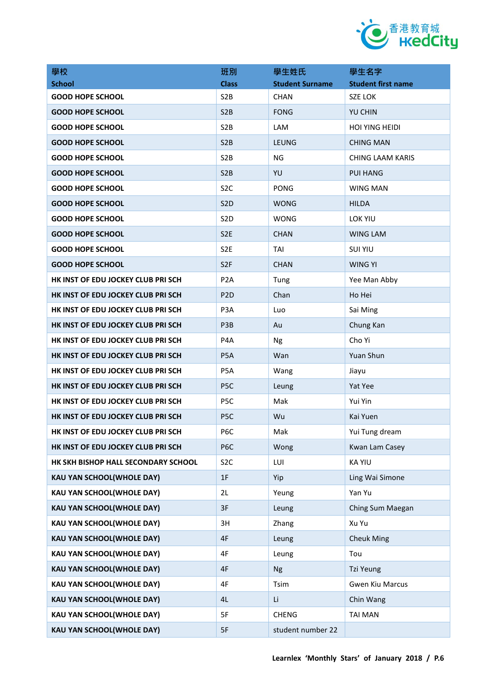

| 學校                                  | 班別               | 學生姓氏                   | 學生名字                      |
|-------------------------------------|------------------|------------------------|---------------------------|
| <b>School</b>                       | <b>Class</b>     | <b>Student Surname</b> | <b>Student first name</b> |
| <b>GOOD HOPE SCHOOL</b>             | S <sub>2</sub> B | <b>CHAN</b>            | <b>SZE LOK</b>            |
| <b>GOOD HOPE SCHOOL</b>             | S <sub>2</sub> B | <b>FONG</b>            | <b>YU CHIN</b>            |
| <b>GOOD HOPE SCHOOL</b>             | S <sub>2</sub> B | <b>LAM</b>             | <b>HOI YING HEIDI</b>     |
| <b>GOOD HOPE SCHOOL</b>             | S <sub>2</sub> B | LEUNG                  | <b>CHING MAN</b>          |
| <b>GOOD HOPE SCHOOL</b>             | S <sub>2</sub> B | <b>NG</b>              | <b>CHING LAAM KARIS</b>   |
| <b>GOOD HOPE SCHOOL</b>             | S2B              | YU                     | <b>PUI HANG</b>           |
| <b>GOOD HOPE SCHOOL</b>             | S <sub>2</sub> C | <b>PONG</b>            | <b>WING MAN</b>           |
| <b>GOOD HOPE SCHOOL</b>             | S <sub>2</sub> D | <b>WONG</b>            | <b>HILDA</b>              |
| <b>GOOD HOPE SCHOOL</b>             | S <sub>2</sub> D | WONG                   | LOK YIU                   |
| <b>GOOD HOPE SCHOOL</b>             | S <sub>2</sub> E | <b>CHAN</b>            | <b>WING LAM</b>           |
| <b>GOOD HOPE SCHOOL</b>             | S <sub>2E</sub>  | TAI                    | <b>SUI YIU</b>            |
| <b>GOOD HOPE SCHOOL</b>             | S <sub>2F</sub>  | <b>CHAN</b>            | WING YI                   |
| HK INST OF EDU JOCKEY CLUB PRI SCH  | P <sub>2</sub> A | Tung                   | Yee Man Abby              |
| HK INST OF EDU JOCKEY CLUB PRI SCH  | P <sub>2</sub> D | Chan                   | Ho Hei                    |
| HK INST OF EDU JOCKEY CLUB PRI SCH  | P <sub>3</sub> A | Luo                    | Sai Ming                  |
| HK INST OF EDU JOCKEY CLUB PRI SCH  | P3B              | Au                     | Chung Kan                 |
| HK INST OF EDU JOCKEY CLUB PRI SCH  | P4A              | <b>Ng</b>              | Cho Yi                    |
| HK INST OF EDU JOCKEY CLUB PRI SCH  | P <sub>5</sub> A | Wan                    | Yuan Shun                 |
| HK INST OF EDU JOCKEY CLUB PRI SCH  | P5A              | Wang                   | Jiayu                     |
| HK INST OF EDU JOCKEY CLUB PRI SCH  | P <sub>5</sub> C | Leung                  | Yat Yee                   |
| HK INST OF EDU JOCKEY CLUB PRI SCH  | P <sub>5</sub> C | Mak                    | Yui Yin                   |
| HK INST OF EDU JOCKEY CLUB PRI SCH  | P <sub>5</sub> C | Wu                     | Kai Yuen                  |
| HK INST OF EDU JOCKEY CLUB PRI SCH  | P6C              | Mak                    | Yui Tung dream            |
| HK INST OF EDU JOCKEY CLUB PRI SCH  | P <sub>6</sub> C | Wong                   | Kwan Lam Casey            |
| HK SKH BISHOP HALL SECONDARY SCHOOL | S <sub>2</sub> C | LUI                    | <b>KA YIU</b>             |
| <b>KAU YAN SCHOOL(WHOLE DAY)</b>    | 1F               | Yip                    | Ling Wai Simone           |
| <b>KAU YAN SCHOOL(WHOLE DAY)</b>    | 2L               | Yeung                  | Yan Yu                    |
| KAU YAN SCHOOL(WHOLE DAY)           | 3F               | Leung                  | Ching Sum Maegan          |
| <b>KAU YAN SCHOOL(WHOLE DAY)</b>    | 3H               | Zhang                  | Xu Yu                     |
| KAU YAN SCHOOL(WHOLE DAY)           | 4F               | Leung                  | <b>Cheuk Ming</b>         |
| <b>KAU YAN SCHOOL(WHOLE DAY)</b>    | 4F               | Leung                  | Tou                       |
| KAU YAN SCHOOL(WHOLE DAY)           | 4F               | <b>Ng</b>              | Tzi Yeung                 |
| <b>KAU YAN SCHOOL(WHOLE DAY)</b>    | 4F               | Tsim                   | <b>Gwen Kiu Marcus</b>    |
| <b>KAU YAN SCHOOL(WHOLE DAY)</b>    | 4L               | Li                     | Chin Wang                 |
| <b>KAU YAN SCHOOL(WHOLE DAY)</b>    | 5F               | <b>CHENG</b>           | <b>TAI MAN</b>            |
| <b>KAU YAN SCHOOL(WHOLE DAY)</b>    | 5F               | student number 22      |                           |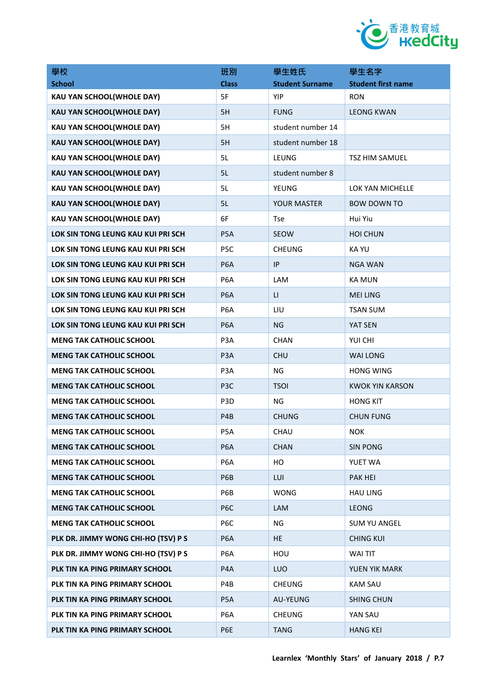

| 學校                                  | 班別               | 學生姓氏                   | 學生名字                      |
|-------------------------------------|------------------|------------------------|---------------------------|
| <b>School</b>                       | <b>Class</b>     | <b>Student Surname</b> | <b>Student first name</b> |
| KAU YAN SCHOOL(WHOLE DAY)           | 5F               | <b>YIP</b>             | <b>RON</b>                |
| <b>KAU YAN SCHOOL(WHOLE DAY)</b>    | 5H               | <b>FUNG</b>            | <b>LEONG KWAN</b>         |
| <b>KAU YAN SCHOOL(WHOLE DAY)</b>    | 5H               | student number 14      |                           |
| <b>KAU YAN SCHOOL(WHOLE DAY)</b>    | 5H               | student number 18      |                           |
| <b>KAU YAN SCHOOL(WHOLE DAY)</b>    | 5L               | LEUNG                  | <b>TSZ HIM SAMUEL</b>     |
| <b>KAU YAN SCHOOL(WHOLE DAY)</b>    | 5L               | student number 8       |                           |
| <b>KAU YAN SCHOOL(WHOLE DAY)</b>    | 5L               | <b>YEUNG</b>           | LOK YAN MICHELLE          |
| <b>KAU YAN SCHOOL(WHOLE DAY)</b>    | 5L               | YOUR MASTER            | <b>BOW DOWN TO</b>        |
| <b>KAU YAN SCHOOL(WHOLE DAY)</b>    | 6F               | <b>Tse</b>             | Hui Yiu                   |
| LOK SIN TONG LEUNG KAU KUI PRI SCH  | P <sub>5</sub> A | <b>SEOW</b>            | <b>HOI CHUN</b>           |
| LOK SIN TONG LEUNG KAU KUI PRI SCH  | P <sub>5</sub> C | <b>CHEUNG</b>          | <b>KAYU</b>               |
| LOK SIN TONG LEUNG KAU KUI PRI SCH  | P <sub>6</sub> A | <b>IP</b>              | NGA WAN                   |
| LOK SIN TONG LEUNG KAU KUI PRI SCH  | P <sub>6</sub> A | LAM                    | <b>KA MUN</b>             |
| LOK SIN TONG LEUNG KAU KUI PRI SCH  | P <sub>6</sub> A | $\mathsf{L}\mathsf{L}$ | <b>MEI LING</b>           |
| LOK SIN TONG LEUNG KAU KUI PRI SCH  | P <sub>6</sub> A | LIU                    | <b>TSAN SUM</b>           |
| LOK SIN TONG LEUNG KAU KUI PRI SCH  | P <sub>6</sub> A | <b>NG</b>              | YAT SEN                   |
| <b>MENG TAK CATHOLIC SCHOOL</b>     | P3A              | <b>CHAN</b>            | YUI CHI                   |
| <b>MENG TAK CATHOLIC SCHOOL</b>     | P <sub>3</sub> A | <b>CHU</b>             | <b>WAI LONG</b>           |
| <b>MENG TAK CATHOLIC SCHOOL</b>     | P3A              | <b>NG</b>              | <b>HONG WING</b>          |
| <b>MENG TAK CATHOLIC SCHOOL</b>     | P <sub>3</sub> C | <b>TSOI</b>            | <b>KWOK YIN KARSON</b>    |
| <b>MENG TAK CATHOLIC SCHOOL</b>     | P <sub>3</sub> D | <b>NG</b>              | <b>HONG KIT</b>           |
| <b>MENG TAK CATHOLIC SCHOOL</b>     | P <sub>4</sub> B | <b>CHUNG</b>           | <b>CHUN FUNG</b>          |
| <b>MENG TAK CATHOLIC SCHOOL</b>     | P <sub>5</sub> A | CHAU                   | NOK.                      |
| <b>MENG TAK CATHOLIC SCHOOL</b>     | P <sub>6</sub> A | <b>CHAN</b>            | <b>SIN PONG</b>           |
| <b>MENG TAK CATHOLIC SCHOOL</b>     | P6A              | HO                     | YUET WA                   |
| <b>MENG TAK CATHOLIC SCHOOL</b>     | P6B              | LUI                    | <b>PAK HEI</b>            |
| <b>MENG TAK CATHOLIC SCHOOL</b>     | P6B              | <b>WONG</b>            | <b>HAU LING</b>           |
| <b>MENG TAK CATHOLIC SCHOOL</b>     | P6C              | LAM                    | <b>LEONG</b>              |
| <b>MENG TAK CATHOLIC SCHOOL</b>     | P <sub>6</sub> C | NG                     | <b>SUM YU ANGEL</b>       |
| PLK DR. JIMMY WONG CHI-HO (TSV) P S | P <sub>6</sub> A | <b>HE</b>              | <b>CHING KUI</b>          |
| PLK DR. JIMMY WONG CHI-HO (TSV) P S | P6A              | HOU                    | <b>WAITIT</b>             |
| PLK TIN KA PING PRIMARY SCHOOL      | P4A              | LUO                    | YUEN YIK MARK             |
| PLK TIN KA PING PRIMARY SCHOOL      | P4B              | <b>CHEUNG</b>          | <b>KAM SAU</b>            |
| PLK TIN KA PING PRIMARY SCHOOL      | P5A              | AU-YEUNG               | <b>SHING CHUN</b>         |
| PLK TIN KA PING PRIMARY SCHOOL      | P <sub>6</sub> A | <b>CHEUNG</b>          | YAN SAU                   |
| PLK TIN KA PING PRIMARY SCHOOL      | P6E              | <b>TANG</b>            | <b>HANG KEI</b>           |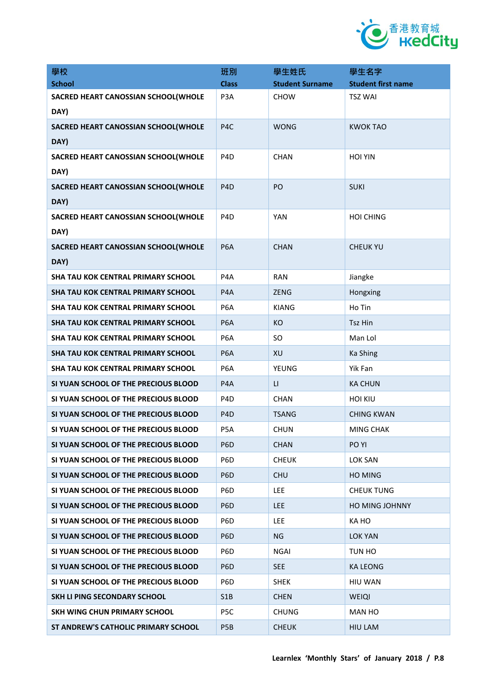

| 學校                                        | 班別               | 學生姓氏                   | 學生名字                      |
|-------------------------------------------|------------------|------------------------|---------------------------|
| <b>School</b>                             | <b>Class</b>     | <b>Student Surname</b> | <b>Student first name</b> |
| SACRED HEART CANOSSIAN SCHOOL(WHOLE       | P <sub>3</sub> A | <b>CHOW</b>            | <b>TSZ WAI</b>            |
| DAY)                                      |                  |                        |                           |
| SACRED HEART CANOSSIAN SCHOOL(WHOLE       | P <sub>4</sub> C | <b>WONG</b>            | <b>KWOK TAO</b>           |
| DAY)                                      |                  |                        |                           |
| SACRED HEART CANOSSIAN SCHOOL(WHOLE       | P <sub>4</sub> D | <b>CHAN</b>            | <b>HOI YIN</b>            |
| DAY)                                      |                  |                        |                           |
| SACRED HEART CANOSSIAN SCHOOL(WHOLE       | P <sub>4</sub> D | PO                     | <b>SUKI</b>               |
| DAY)                                      |                  |                        |                           |
| SACRED HEART CANOSSIAN SCHOOL(WHOLE       | P <sub>4</sub> D | <b>YAN</b>             | <b>HOI CHING</b>          |
| DAY)                                      |                  |                        |                           |
| SACRED HEART CANOSSIAN SCHOOL(WHOLE       | P <sub>6</sub> A | <b>CHAN</b>            | <b>CHEUK YU</b>           |
| DAY)                                      |                  |                        |                           |
| <b>SHA TAU KOK CENTRAL PRIMARY SCHOOL</b> | P <sub>4</sub> A | <b>RAN</b>             | Jiangke                   |
| SHA TAU KOK CENTRAL PRIMARY SCHOOL        | P <sub>4</sub> A | <b>ZENG</b>            | Hongxing                  |
| <b>SHA TAU KOK CENTRAL PRIMARY SCHOOL</b> | P <sub>6</sub> A | <b>KIANG</b>           | Ho Tin                    |
| SHA TAU KOK CENTRAL PRIMARY SCHOOL        | P <sub>6</sub> A | <b>KO</b>              | <b>Tsz Hin</b>            |
| <b>SHA TAU KOK CENTRAL PRIMARY SCHOOL</b> | P <sub>6</sub> A | <b>SO</b>              | Man Lol                   |
| SHA TAU KOK CENTRAL PRIMARY SCHOOL        | P <sub>6</sub> A | XU                     | Ka Shing                  |
| <b>SHA TAU KOK CENTRAL PRIMARY SCHOOL</b> | P <sub>6</sub> A | YEUNG                  | Yik Fan                   |
| SI YUAN SCHOOL OF THE PRECIOUS BLOOD      | P <sub>4</sub> A | $\mathsf{L}\mathsf{I}$ | <b>KA CHUN</b>            |
| SI YUAN SCHOOL OF THE PRECIOUS BLOOD      | P <sub>4</sub> D | CHAN                   | <b>HOI KIU</b>            |
| SI YUAN SCHOOL OF THE PRECIOUS BLOOD      | P <sub>4</sub> D | <b>TSANG</b>           | <b>CHING KWAN</b>         |
| SI YUAN SCHOOL OF THE PRECIOUS BLOOD      | P <sub>5</sub> A | <b>CHUN</b>            | <b>MING CHAK</b>          |
| SI YUAN SCHOOL OF THE PRECIOUS BLOOD      | P <sub>6</sub> D | <b>CHAN</b>            | PO YI                     |
| SI YUAN SCHOOL OF THE PRECIOUS BLOOD      | P <sub>6</sub> D | <b>CHEUK</b>           | <b>LOK SAN</b>            |
| SI YUAN SCHOOL OF THE PRECIOUS BLOOD      | P <sub>6</sub> D | <b>CHU</b>             | <b>HO MING</b>            |
| SI YUAN SCHOOL OF THE PRECIOUS BLOOD      | P <sub>6</sub> D | <b>LEE</b>             | <b>CHEUK TUNG</b>         |
| SI YUAN SCHOOL OF THE PRECIOUS BLOOD      | P <sub>6</sub> D | <b>LEE</b>             | <b>HO MING JOHNNY</b>     |
| SI YUAN SCHOOL OF THE PRECIOUS BLOOD      | P <sub>6</sub> D | LEE                    | KA HO                     |
| SI YUAN SCHOOL OF THE PRECIOUS BLOOD      | P <sub>6</sub> D | <b>NG</b>              | LOK YAN                   |
| SI YUAN SCHOOL OF THE PRECIOUS BLOOD      | P <sub>6</sub> D | <b>NGAI</b>            | TUN HO                    |
| SI YUAN SCHOOL OF THE PRECIOUS BLOOD      | P <sub>6</sub> D | <b>SEE</b>             | <b>KA LEONG</b>           |
| SI YUAN SCHOOL OF THE PRECIOUS BLOOD      | P <sub>6</sub> D | <b>SHEK</b>            | HIU WAN                   |
| SKH LI PING SECONDARY SCHOOL              | S <sub>1</sub> B | <b>CHEN</b>            | WEIQI                     |
| SKH WING CHUN PRIMARY SCHOOL              | P5C              | <b>CHUNG</b>           | <b>MAN HO</b>             |
| ST ANDREW'S CATHOLIC PRIMARY SCHOOL       | P <sub>5</sub> B | <b>CHEUK</b>           | <b>HIU LAM</b>            |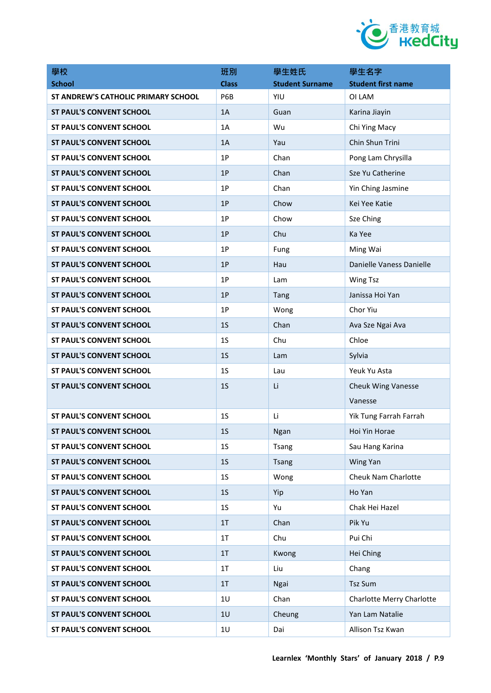

| 學校                                  | 班別             | 學生姓氏                   | 學生名字                      |
|-------------------------------------|----------------|------------------------|---------------------------|
| <b>School</b>                       | <b>Class</b>   | <b>Student Surname</b> | <b>Student first name</b> |
| ST ANDREW'S CATHOLIC PRIMARY SCHOOL | P6B            | YIU                    | OI LAM                    |
| <b>ST PAUL'S CONVENT SCHOOL</b>     | 1A             | Guan                   | Karina Jiayin             |
| <b>ST PAUL'S CONVENT SCHOOL</b>     | 1A             | Wu                     | Chi Ying Macy             |
| <b>ST PAUL'S CONVENT SCHOOL</b>     | 1A             | Yau                    | Chin Shun Trini           |
| <b>ST PAUL'S CONVENT SCHOOL</b>     | 1P             | Chan                   | Pong Lam Chrysilla        |
| <b>ST PAUL'S CONVENT SCHOOL</b>     | 1P             | Chan                   | Sze Yu Catherine          |
| <b>ST PAUL'S CONVENT SCHOOL</b>     | 1P             | Chan                   | Yin Ching Jasmine         |
| <b>ST PAUL'S CONVENT SCHOOL</b>     | 1P             | Chow                   | Kei Yee Katie             |
| <b>ST PAUL'S CONVENT SCHOOL</b>     | 1P             | Chow                   | Sze Ching                 |
| <b>ST PAUL'S CONVENT SCHOOL</b>     | 1P             | Chu                    | Ka Yee                    |
| <b>ST PAUL'S CONVENT SCHOOL</b>     | 1P             | Fung                   | Ming Wai                  |
| <b>ST PAUL'S CONVENT SCHOOL</b>     | 1P             | Hau                    | Danielle Vaness Danielle  |
| <b>ST PAUL'S CONVENT SCHOOL</b>     | 1P             | Lam                    | <b>Wing Tsz</b>           |
| <b>ST PAUL'S CONVENT SCHOOL</b>     | 1P             | Tang                   | Janissa Hoi Yan           |
| <b>ST PAUL'S CONVENT SCHOOL</b>     | 1P             | Wong                   | Chor Yiu                  |
| <b>ST PAUL'S CONVENT SCHOOL</b>     | 1 <sub>S</sub> | Chan                   | Ava Sze Ngai Ava          |
| <b>ST PAUL'S CONVENT SCHOOL</b>     | 1 <sub>S</sub> | Chu                    | Chloe                     |
| <b>ST PAUL'S CONVENT SCHOOL</b>     | 1 <sub>S</sub> | Lam                    | Sylvia                    |
| <b>ST PAUL'S CONVENT SCHOOL</b>     | 1 <sub>S</sub> | Lau                    | Yeuk Yu Asta              |
| <b>ST PAUL'S CONVENT SCHOOL</b>     | 1 <sub>S</sub> | Li                     | <b>Cheuk Wing Vanesse</b> |
|                                     |                |                        | Vanesse                   |
| <b>ST PAUL'S CONVENT SCHOOL</b>     | 1 <sub>S</sub> | Li                     | Yik Tung Farrah Farrah    |
| <b>ST PAUL'S CONVENT SCHOOL</b>     | 1 <sub>S</sub> | <b>Ngan</b>            | Hoi Yin Horae             |
| <b>ST PAUL'S CONVENT SCHOOL</b>     | 1 <sub>S</sub> | <b>Tsang</b>           | Sau Hang Karina           |
| <b>ST PAUL'S CONVENT SCHOOL</b>     | 1 <sub>S</sub> | <b>Tsang</b>           | Wing Yan                  |
| ST PAUL'S CONVENT SCHOOL            | 1 <sub>S</sub> | Wong                   | Cheuk Nam Charlotte       |
| <b>ST PAUL'S CONVENT SCHOOL</b>     | 1 <sub>S</sub> | Yip                    | Ho Yan                    |
| ST PAUL'S CONVENT SCHOOL            | 1S             | Yu                     | Chak Hei Hazel            |
| <b>ST PAUL'S CONVENT SCHOOL</b>     | 1T             | Chan                   | Pik Yu                    |
| <b>ST PAUL'S CONVENT SCHOOL</b>     | 1T             | Chu                    | Pui Chi                   |
| <b>ST PAUL'S CONVENT SCHOOL</b>     | 1T             | Kwong                  | Hei Ching                 |
| ST PAUL'S CONVENT SCHOOL            | 1 <sub>T</sub> | Liu                    | Chang                     |
| <b>ST PAUL'S CONVENT SCHOOL</b>     | 1T             | Ngai                   | <b>Tsz Sum</b>            |
| <b>ST PAUL'S CONVENT SCHOOL</b>     | 1U             | Chan                   | Charlotte Merry Charlotte |
| <b>ST PAUL'S CONVENT SCHOOL</b>     | 1U             | Cheung                 | Yan Lam Natalie           |
| ST PAUL'S CONVENT SCHOOL            | 1U             | Dai                    | Allison Tsz Kwan          |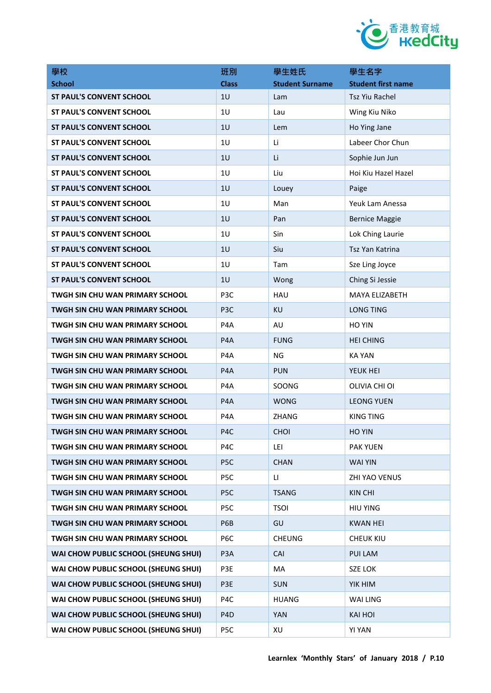

| 學校                                     | 班別               | 學生姓氏                   | 學生名字                      |
|----------------------------------------|------------------|------------------------|---------------------------|
| <b>School</b>                          | <b>Class</b>     | <b>Student Surname</b> | <b>Student first name</b> |
| <b>ST PAUL'S CONVENT SCHOOL</b>        | 1U               | Lam                    | Tsz Yiu Rachel            |
| <b>ST PAUL'S CONVENT SCHOOL</b>        | 1U               | Lau                    | Wing Kiu Niko             |
| <b>ST PAUL'S CONVENT SCHOOL</b>        | 1U               | Lem                    | Ho Ying Jane              |
| <b>ST PAUL'S CONVENT SCHOOL</b>        | 1U               | Li                     | Labeer Chor Chun          |
| <b>ST PAUL'S CONVENT SCHOOL</b>        | 1U               | Li                     | Sophie Jun Jun            |
| <b>ST PAUL'S CONVENT SCHOOL</b>        | 1U               | Liu                    | Hoi Kiu Hazel Hazel       |
| <b>ST PAUL'S CONVENT SCHOOL</b>        | 1U               | Louey                  | Paige                     |
| <b>ST PAUL'S CONVENT SCHOOL</b>        | 1U               | Man                    | Yeuk Lam Anessa           |
| <b>ST PAUL'S CONVENT SCHOOL</b>        | 1U               | Pan                    | <b>Bernice Maggie</b>     |
| <b>ST PAUL'S CONVENT SCHOOL</b>        | 1U               | Sin                    | Lok Ching Laurie          |
| <b>ST PAUL'S CONVENT SCHOOL</b>        | 1U               | Siu                    | Tsz Yan Katrina           |
| <b>ST PAUL'S CONVENT SCHOOL</b>        | 1U               | Tam                    | Sze Ling Joyce            |
| <b>ST PAUL'S CONVENT SCHOOL</b>        | 1U               | Wong                   | Ching Si Jessie           |
| <b>TWGH SIN CHU WAN PRIMARY SCHOOL</b> | P3C              | <b>HAU</b>             | MAYA ELIZABETH            |
| TWGH SIN CHU WAN PRIMARY SCHOOL        | P <sub>3C</sub>  | KU                     | <b>LONG TING</b>          |
| <b>TWGH SIN CHU WAN PRIMARY SCHOOL</b> | P <sub>4</sub> A | AU                     | <b>HO YIN</b>             |
| TWGH SIN CHU WAN PRIMARY SCHOOL        | P4A              | <b>FUNG</b>            | <b>HEI CHING</b>          |
| TWGH SIN CHU WAN PRIMARY SCHOOL        | P <sub>4</sub> A | <b>NG</b>              | KA YAN                    |
| TWGH SIN CHU WAN PRIMARY SCHOOL        | P4A              | <b>PUN</b>             | YEUK HEI                  |
| <b>TWGH SIN CHU WAN PRIMARY SCHOOL</b> | P <sub>4</sub> A | SOONG                  | OLIVIA CHI OI             |
| TWGH SIN CHU WAN PRIMARY SCHOOL        | P <sub>4</sub> A | <b>WONG</b>            | <b>LEONG YUEN</b>         |
| TWGH SIN CHU WAN PRIMARY SCHOOL        | P <sub>4</sub> A | ZHANG                  | <b>KING TING</b>          |
| TWGH SIN CHU WAN PRIMARY SCHOOL        | P4C              | <b>CHOI</b>            | HO YIN                    |
| <b>TWGH SIN CHU WAN PRIMARY SCHOOL</b> | P <sub>4</sub> C | LEI                    | <b>PAK YUEN</b>           |
| TWGH SIN CHU WAN PRIMARY SCHOOL        | P5C              | <b>CHAN</b>            | <b>WAI YIN</b>            |
| TWGH SIN CHU WAN PRIMARY SCHOOL        | P5C              | $\mathsf{L}$           | ZHI YAO VENUS             |
| TWGH SIN CHU WAN PRIMARY SCHOOL        | P5C              | <b>TSANG</b>           | <b>KIN CHI</b>            |
| TWGH SIN CHU WAN PRIMARY SCHOOL        | P5C              | <b>TSOI</b>            | <b>HIU YING</b>           |
| TWGH SIN CHU WAN PRIMARY SCHOOL        | P6B              | GU                     | <b>KWAN HEI</b>           |
| <b>TWGH SIN CHU WAN PRIMARY SCHOOL</b> | P6C              | <b>CHEUNG</b>          | <b>CHEUK KIU</b>          |
| WAI CHOW PUBLIC SCHOOL (SHEUNG SHUI)   | P <sub>3</sub> A | CAI                    | PUI LAM                   |
| WAI CHOW PUBLIC SCHOOL (SHEUNG SHUI)   | P3E              | MA                     | <b>SZE LOK</b>            |
| WAI CHOW PUBLIC SCHOOL (SHEUNG SHUI)   | P3E              | <b>SUN</b>             | YIK HIM                   |
| WAI CHOW PUBLIC SCHOOL (SHEUNG SHUI)   | P4C              | <b>HUANG</b>           | WAI LING                  |
| WAI CHOW PUBLIC SCHOOL (SHEUNG SHUI)   | P <sub>4</sub> D | <b>YAN</b>             | <b>KAI HOI</b>            |
| WAI CHOW PUBLIC SCHOOL (SHEUNG SHUI)   | P5C              | XU                     | <b>YI YAN</b>             |